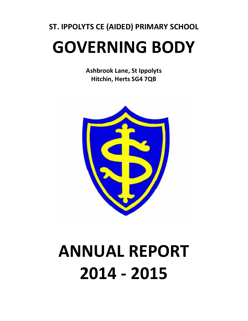## **ST. IPPOLYTS CE (AIDED) PRIMARY SCHOOL GOVERNING BODY**

**Ashbrook Lane, St Ippolyts Hitchin, Herts SG4 7QB**



# **ANNUAL REPORT 2014 - 2015**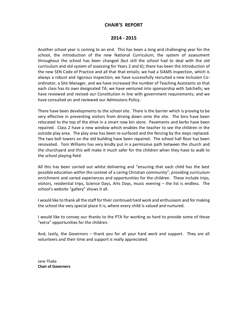#### **CHAIR'S REPORT**

#### **2014 - 2015**

Another school year is coming to an end. This has been a long and challenging year for the school, the introduction of the new National Curriculum; the system of assessment throughout the school has been changed (but still the school had to deal with the old curriculum and old system of assessing for Years 2 and 6); there has been the introduction of the new SEN Code of Practice and all that that entails; we had a SIAMS inspection, which is always a robust and rigorous inspection; we have successfully recruited a new Inclusion Coordinator, a Site Manager, and we have increased the number of Teaching Assistants so that each class has its own designated TA; we have ventured into sponsorship with Satchells; we have reviewed and revised our Constitution in line with government requirements; and we have consulted on and reviewed our Admissions Policy.

There have been developments to the school site. There is the barrier which is proving to be very effective in preventing visitors from driving down onto the site. The bins have been relocated to the top of the drive in a smart new bin store. Pavements and kerbs have been repaired. Class 2 have a new window which enables the teacher to see the children in the outside play area. The play area has been re-surfaced and the fencing by the steps replaced. The two bell towers on the old building have been repaired. The school hall floor has been renovated. Tom Williams has very kindly put in a permissive path between the church and the churchyard and this will make it much safer for the children when they have to walk to the school playing field.

All this has been carried out whilst delivering and "ensuring that each child has the best possible education within the context of a caring Christian community", providing curriculum enrichment and varied experiences and opportunities for the children. These include trips, visitors, residential trips, Science Days, Arts Days, music evening – the list is endless. The school's website "gallery" shows it all.

I would like to thank all the staff for their continued hard work and enthusiasm and for making the school the very special place it is, where every child is valued and nurtured.

I would like to convey our thanks to the PTA for working so hard to provide some of those "extra" opportunities for the children.

And, lastly, the Governors – thank you for all your hard work and support. They are all volunteers and their time and support is really appreciated.

Jane Thake **Chair of Governers**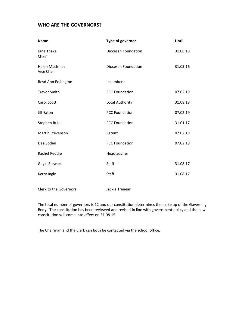#### **WHO ARE THE GOVERNORS?**

| <b>Name</b>                         | Type of governor      | <b>Until</b> |
|-------------------------------------|-----------------------|--------------|
| Jane Thake<br>Chair                 | Diocesan Foundation   | 31.08.18     |
| <b>Helen MacInnes</b><br>Vice Chair | Diocesan Foundation   | 31.03.16     |
| Revd Ann Pollington                 | Incumbent             |              |
| <b>Trevor Smith</b>                 | <b>PCC Foundation</b> | 07.02.19     |
| Carol Scott                         | Local Authority       | 31.08.18     |
| Jill Eaton                          | <b>PCC Foundation</b> | 07.02.19     |
| Stephen Rule                        | <b>PCC Foundation</b> | 31.01.17     |
| Martin Stevenson                    | Parent                | 07.02.19     |
| Dee Soden                           | <b>PCC Foundation</b> | 07.02.19     |
| Rachel Peddie                       | Headteacher           |              |
| Gayle Stewart                       | Staff                 | 31.08.17     |
| Kerry Ingle                         | Staff                 | 31.08.17     |
|                                     |                       |              |

Clerk to the Governors Jackie Trenear

The total number of governors is 12 and our constitution determines the make up of the Governing Body. The constitution has been reviewed and revised in line with government policy and the new constitution will come into effect on 31.08.15

The Chairman and the Clerk can both be contacted via the school office.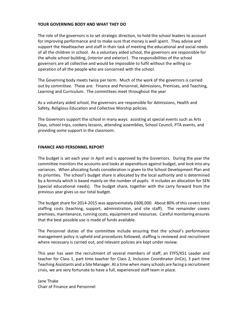#### **YOUR GOVERNING BODY AND WHAT THEY DO**

The role of the governors is to set strategic direction, to hold the school leaders to account for improving performance and to make sure that money is well spent. They advise and support the Headteacher and staff in their task of meeting the educational and social needs of all the children in school. As a voluntary aided school, the governors are responsible for the whole school building, (interior and exterior). The responsibilities of the school governors are all collective and would be impossible to fulfil without the willing cooperation of all the people who are concerned with the school.

The Governing body meets twice per term. Much of the work of the governors is carried out by committee. These are: Finance and Personnel, Admissions, Premises, and Teaching, Learning and Curriculum. The committees meet throughout the year

As a voluntary aided school, the governors are responsible for Admissions, Health and Safety, Religious Education and Collective Worship policies.

The Governors support the school in many ways: assisting at special events such as Arts Days, school trips, cookery lessons, attending assemblies, School Council, PTA events, and providing some support in the classroom.

#### **FINANCE AND PERSONNEL REPORT**

The budget is set each year in April and is approved by the Governors. During the year the committee monitors the accounts and looks at expenditure against budget, and look into any variances. When allocating funds consideration is given to the School Development Plan and its priorities. The school's budget share is allocated by the local authority and is determined by a formula which is based mainly on the number of pupils. It includes an allocation for SEN (special educational needs). The budget share, together with the carry forward from the previous year gives us our total budget.

The budget share for 2014-2015 was approximately £600,000. About 80% of this covers total staffing costs (teaching, support, administration, and site staff). The remainder covers premises, maintenance, running costs, equipment and resources. Careful monitoring ensures that the best possible use is made of funds available.

The Personnel duties of the committee include ensuring that the school's performance management policy is upheld and procedures followed, staffing is reviewed and recruitment where necessary is carried out, and relevant policies are kept under review.

This year has seen the recruitment of several members of staff; an EYFS/KS1 Leader and teacher for Class 1, part time teacher for Class 2, Inclusion Coordinator (InCo), 3 part time Teaching Assistants and a Site Manager. At a time when many schools are facing a recruitment crisis, we are very fortunate to have a full, experienced staff team in place.

Jane Thake Chair of Finance and Personnel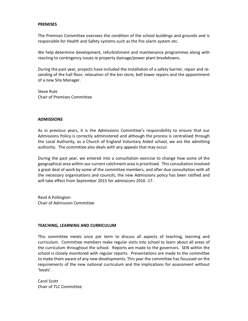#### **PREMISES**

The Premises Committee oversees the condition of the school buildings and grounds and is responsible for Health and Safety systems such as the fire alarm system etc.

We help determine development, refurbishment and maintenance programmes along with reacting to contingency issues ie property damage/power plant breakdowns.

During the past year, projects have included the installation of a safety barrier, repair and resanding of the hall floor, relocation of the bin store, bell tower repairs and the appointment of a new Site Manager.

Steve Rule Chair of Premises Committee

#### **ADMISSIONS**

As in previous years, it is the Admissions Committee's responsibility to ensure that our Admissions Policy is correctly administered and although the process is centralised through the Local Authority, as a Church of England Voluntary Aided school, we are the admitting authority. The committee also deals with any appeals that may occur.

During the past year, we entered into a consultation exercise to change how some of the geographical area within our current catchment area is prioritised. This consultation involved a great deal of work by some of the committee members, and after due consultation with all the necessary organisations and councils, the new Admissions policy has been ratified and will take effect from September 2015 for admissions 2016 -17.

Revd A Pollington Chair of Admission Committee

#### **TEACHING, LEARNING AND CURRICULUM**

This committee meets once per term to discuss all aspects of teaching, learning and curriculum. Committee members make regular visits into school to learn about all areas of the curriculum throughout the school. Reports are made to the governors. SEN within the school is closely monitored with regular reports. Presentations are made to the committee to make them aware of any new developments. This year the committee has focussed on the requirements of the new national curriculum and the implications for assessment without 'levels'.

Carol Scott Chair of TLC Committee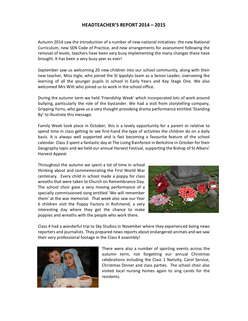#### **HEADTEACHER'S REPORT 2014 – 2015**

Autumn 2014 saw the introduction of a number of new national initiatives: the new National Curriculum, new SEN Code of Practice, and new arrangements for assessment following the removal of levels; teachers have been very busy implementing the many changes these have brought. It has been a very busy year as ever!

September saw us welcoming 20 new children into our school community, along with their new teacher, Miss Ingle, who joined the St Ippolyts team as a Senior Leader, overseeing the learning of all the younger pupils in school in Early Years and Key Stage One. We also welcomed Mrs Witt who joined us to work in the school office.

During the autumn term we held 'Friendship Week' which incorporated lots of work around bullying, particularly the role of the bystander. We had a visit from storytelling company, Gripping Yarns, who gave us a very thought-provoking drama performance entitled 'Standing By' to illustrate this message.

Family Week took place in October; this is a lovely opportunity for a parent or relative to spend time in class getting to see first-hand the type of activities the children do on a daily basis. It is always well supported and is fast becoming a favourite feature of the school calendar. Class 3 spent a fantastic day at The Living Rainforest in Berkshire in October for their Geography topic and we held our annual Harvest Festival, supporting the Bishop of St Albans' Harvest Appeal.

Throughout the autumn we spent a lot of time in school thinking about and commemorating the First World War centenary. Every child in school made a poppy for class wreaths that were taken to Church on Remembrance Day. The school choir gave a very moving performance of a specially commissioned song entitled 'We will remember them' at the war memorial. That week also saw our Year 6 children visit the Poppy Factory in Richmond, a very interesting day where they got the chance to make poppies and wreaths with the people who work there.



Class 4 had a wonderful trip to Sky Studios in November where they experienced being news reporters and journalists. They prepared news reports about endangered animals and we saw their very professional footage in the Class 4 assembly!



There were also a number of sporting events across the autumn term, not forgetting our annual Christmas celebrations including the Class 1 Nativity, Carol Service, Christmas Dinner and class parties. The school choir also visited local nursing homes again to sing carols for the residents.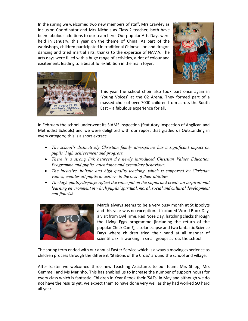In the spring we welcomed two new members of staff, Mrs Crawley as Inclusion Coordinator and Mrs Nichols as Class 2 teacher, both have been fabulous additions to our team here. Our popular Arts Days were held in January, this year on the theme of China. As part of the workshops, children participated in traditional Chinese lion and dragon dancing and tried martial arts, thanks to the expertise of NAMA. The arts days were filled with a huge range of activities, a riot of colour and excitement, leading to a beautiful exhibition in the main foyer.





This year the school choir also took part once again in 'Young Voices' at the 02 Arena. They formed part of a massed choir of over 7000 children from across the South East – a fabulous experience for all.

In February the school underwent its SIAMS Inspection (Statutory Inspection of Anglican and Methodist Schools) and we were delighted with our report that graded us Outstanding in every category; this is a short extract:

- · *The school's distinctively Christian family atmosphere has a significant impact on pupils' high achievement and progress.*
- · *There is a strong link between the newly introduced Christian Values Education Programme and pupils' attendance and exemplary behaviour.*
- · *The inclusive, holistic and high quality teaching, which is supported by Christian values, enables all pupils to achieve to the best of their abilities*
- · *The high quality displays reflect the value put on the pupils and create an inspirational learning environment in which pupils' spiritual, moral, social and cultural development can flourish.*



March always seems to be a very busy month at St Ippolyts and this year was no exception. It included World Book Day, a visit from Owl Time, Red Nose Day, hatching chicks through the Living Eggs programme (including the return of the popular Chick Cam!), a solar eclipse and two fantastic Science Days where children tried their hand at all manner of scientific skills working in small groups across the school.

The spring term ended with our annual Easter Service which is always a moving experience as children process through the different 'Stations of the Cross' around the school and village.

After Easter we welcomed three new Teaching Assistants to our team: Mrs Shipp, Mrs Gemmell and Ms Marinho. This has enabled us to increase the number of support hours for every class which is fantastic. Children in Year 6 took their 'SATs' in May and although we do not have the results yet, we expect them to have done very well as they had worked SO hard all year.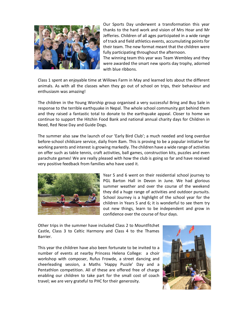

Our Sports Day underwent a transformation this year thanks to the hard work and vision of Mrs Hoar and Mr Jefferies. Children of all ages participated in a wide range of track and field athletics events, accumulating points for their team. The new format meant that the children were fully participating throughout the afternoon.

The winning team this year was Team Wembley and they were awarded the smart new sports day trophy, adorned with blue ribbons.

Class 1 spent an enjoyable time at Willows Farm in May and learned lots about the different animals. As with all the classes when they go out of school on trips, their behaviour and enthusiasm was amazing!

The children in the Young Worship group organised a very successful Bring and Buy Sale in response to the terrible earthquake in Nepal. The whole school community got behind them and they raised a fantastic total to donate to the earthquake appeal. Closer to home we continue to support the Hitchin Food Bank and national annual charity days for Children in Need, Red Nose Day and Guide Dogs.

The summer also saw the launch of our 'Early Bird Club'; a much needed and long overdue before-school childcare service, daily from 8am. This is proving to be a popular initiative for working parents and interest is growing markedly. The children have a wide range of activities on offer such as table tennis, craft activities, ball games, construction kits, puzzles and even parachute games! We are really pleased with how the club is going so far and have received very positive feedback from families who have used it.



Year 5 and 6 went on their residential school journey to PGL Barton Hall in Devon in June. We had glorious summer weather and over the course of the weekend they did a huge range of activities and outdoor pursuits. School Journey is a highlight of the school year for the children in Years 5 and 6; it is wonderful to see them try out new things, learn to be independent and grow in confidence over the course of four days.

Other trips in the summer have included Class 2 to Mountfitchet Castle, Class 3 to Celtic Harmony and Class 4 to the Thames Barrier.

This year the children have also been fortunate to be invited to a number of events at nearby Princess Helena College: a choir workshop with composer, Rufus Frowde, a street dancing and cheerleading session, a Maths 'Happy Puzzle' Day and a Pentathlon competition. All of these are offered free of charge enabling our children to take part for the small cost of coach travel; we are very grateful to PHC for their generosity.

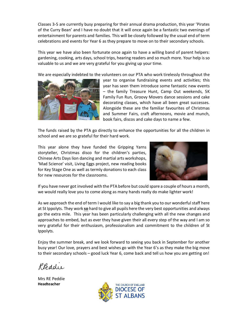Classes 3-5 are currently busy preparing for their annual drama production, this year 'Pirates of the Curry Bean' and I have no doubt that it will once again be a fantastic two evenings of entertainment for parents and families. This will be closely followed by the usual end of term celebrations and events for Year 6 as they prepare to move on to their secondary schools.

This year we have also been fortunate once again to have a willing band of parent helpers: gardening, cooking, arts days, school trips, hearing readers and so much more. Your help is so valuable to us and we are very grateful for you giving up your time.

We are especially indebted to the volunteers on our PTA who work tirelessly throughout the



year to organise fundraising events and activities; this year has seen them introduce some fantastic new events – the family Treasure Hunt, Camp Out weekends, 5K Family Fun Run, Groovy Movers dance sessions and cake decorating classes, which have all been great successes. Alongside these are the familiar favourites of Christmas and Summer Fairs, craft afternoons, movie and munch, book fairs, discos and cake days to name a few.

The funds raised by the PTA go directly to enhance the opportunities for all the children in school and we are so grateful for their hard work.

This year alone they have funded the Gripping Yarns storyteller, Christmas disco for the children's parties, Chinese Arts Days lion dancing and martial arts workshops, 'Mad Science' visit, Living Eggs project, new reading books for Key Stage One as well as termly donations to each class for new resources for the classrooms.



If you have never got involved with the PTA before but could spare a couple of hours a month, we would really love you to come along as many hands really do make lighter work!

As we approach the end of term I would like to say a big thank you to our wonderful staff here at St Ippolyts. They work **so** hard to give all pupils here the very best opportunities and always go the extra mile. This year has been particularly challenging with all the new changes and approaches to embed, but as ever they have given their all every step of the way and I am so very grateful for their enthusiasm, professionalism and commitment to the children of St Ippolyts.

Enjoy the summer break, and we look forward to seeing you back in September for another busy year! Our love, prayers and best wishes go with the Year 6's as they make the big move to their secondary schools – good luck Year 6, come back and tell us how you are getting on!

Reddie

Mrs RE Peddie **Headteacher**

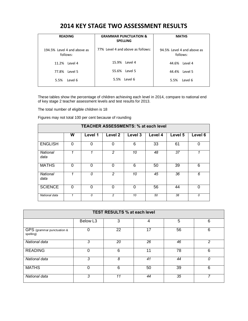## **2014 KEY STAGE TWO ASSESSMENT RESULTS**

| <b>READING</b>                          | <b>GRAMMAR PUNCTUATION &amp;</b><br><b>SPELLING</b> | <b>MATHS</b>                           |
|-----------------------------------------|-----------------------------------------------------|----------------------------------------|
| 194.5% Level 4 and above as<br>follows: | 77% Level 4 and above as follows:                   | 94.5% Level 4 and above as<br>follows: |
| 11.2%<br>Level 4                        | 15.9% Level 4                                       | 44.6% Level 4                          |
| Level 5<br>77.8%                        | 55.6% Level 5                                       | 44.4% Level 5                          |
| 5.5%<br>Level 6                         | 5.5% Level 6                                        | Level 6<br>5.5%                        |

These tables show the percentage of children achieving each level in 2014, compare to national end of key stage 2 teacher assessment levels and test results for 2013.

The total number of eligible children is 18

Figures may not total 100 per cent because of rounding

| <b>TEACHER ASSESSMENTS: % at each level</b> |          |          |                |         |         |         |          |
|---------------------------------------------|----------|----------|----------------|---------|---------|---------|----------|
|                                             | W        | Level 1  | Level 2        | Level 3 | Level 4 | Level 5 | Level 6  |
| <b>ENGLISH</b>                              | $\Omega$ | $\Omega$ | $\Omega$       | 6       | 33      | 61      | $\Omega$ |
| <b>National</b><br>data                     |          | 1        | 2              | 10      | 48      | 37      | 1        |
| <b>MATHS</b>                                | $\Omega$ | $\Omega$ | $\Omega$       | 6       | 50      | 39      | 6        |
| <b>National</b><br>data                     | 1        | 0        | $\overline{2}$ | 10      | 45      | 36      | 6        |
| <b>SCIENCE</b>                              | 0        | $\Omega$ | $\Omega$       | 0       | 56      | 44      | $\Omega$ |
| National data                               | 1        | 0        | $\overline{c}$ | 10      | 50      | 38      | 0        |

| <b>TEST RESULTS % at each level</b>     |                      |    |    |    |   |  |
|-----------------------------------------|----------------------|----|----|----|---|--|
|                                         | Below L <sub>3</sub> | 3  | 4  | 5  | 6 |  |
| GPS (grammar punctuation &<br>spelling) | 0                    | 22 | 17 | 56 | 6 |  |
| National data                           | 3                    | 20 | 26 | 46 | 2 |  |
| <b>READING</b>                          | 0                    | 6  | 11 | 78 | 6 |  |
| National data                           | 3                    | 8  | 41 | 44 | n |  |
| <b>MATHS</b>                            | $\Omega$             | 6  | 50 | 39 | 6 |  |
| National data                           | 3                    | 11 | 44 | 35 |   |  |